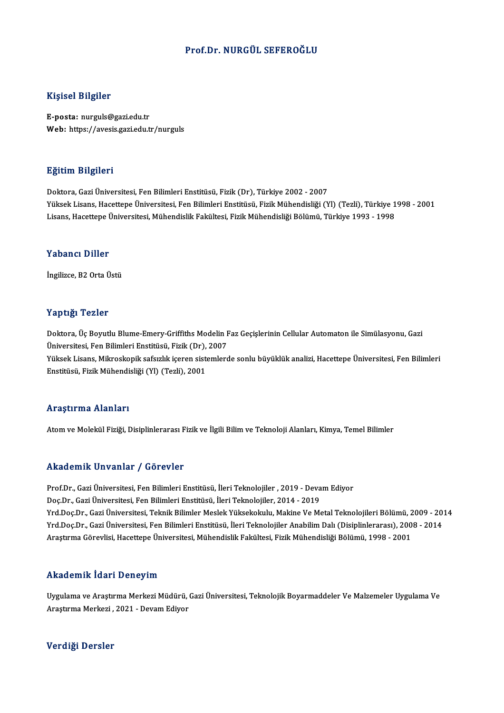# Prof.Dr.NURGÜL SEFEROĞLU

## Kişisel Bilgiler

E-posta: nurguls@gazi.edu.tr Web: https://avesis.gazi.edu.tr/nurguls

## Eğitim Bilgileri

Doktora, Gazi Üniversitesi, Fen Bilimleri Enstitüsü, Fizik (Dr), Türkiye 2002 - 2007 Yüksek Lisans, Hacettepe Üniversitesi, Fen Bilimleri Enstitüsü, Fizik Mühendisliği (Yl) (Tezli), Türkiye 1998 - 2001 Lisans, Hacettepe Üniversitesi, Mühendislik Fakültesi, Fizik Mühendisliği Bölümü, Türkiye 1993 - 1998

### Yabancı Diller

İngilizce, B2 Orta Üstü

## Yaptığı Tezler

Yaptığı Tezler<br>Doktora, Üç Boyutlu Blume-Emery-Griffiths Modelin Faz Geçişlerinin Cellular Automaton ile Simülasyonu, Gazi<br>Üniversitesi, Fan Pilimlari Enstitüsü, Fizik (Dr.), 2007 1 up 1521<br>Doktora, Üç Boyutlu Blume-Emery-Griffiths Modelin I<br>Üniversitesi, Fen Bilimleri Enstitüsü, Fizik (Dr), 2007<br>Vülgek Lisans, Milmeskonik safarlık isanan sistemler Doktora, Üç Boyutlu Blume-Emery-Griffiths Modelin Faz Geçişlerinin Cellular Automaton ile Simülasyonu, Gazi<br>Üniversitesi, Fen Bilimleri Enstitüsü, Fizik (Dr), 2007<br>Yüksek Lisans, Mikroskopik safsızlık içeren sistemlerde so

Üniversitesi, Fen Bilimleri Enstitüsü, Fizik (Dr),<br>Yüksek Lisans, Mikroskopik safsızlık içeren sist<br>Enstitüsü, Fizik Mühendisliği (Yl) (Tezli), 2001 Enstitüsü, Fizik Mühendisliği (Yl) (Tezli), 2001<br>Araştırma Alanları

Atom ve Molekül Fiziği, Disiplinlerarası Fizik ve İlgili Bilim ve Teknoloji Alanları, Kimya, Temel Bilimler

### Akademik Unvanlar / Görevler

Akademik Unvanlar / Görevler<br>Prof.Dr., Gazi Üniversitesi, Fen Bilimleri Enstitüsü, İleri Teknolojiler , 2019 - Devam Ediyor<br>Des.Dr., Gazi Üniversitesi, Fen Bilimleri Enstitüsü, İleri Teknolojiler, 2014, 2019 rrkaateririk on varitar 7 taol evrer<br>Prof.Dr., Gazi Üniversitesi, Fen Bilimleri Enstitüsü, İleri Teknolojiler , 2019 - Deva<br>Doç.Dr., Gazi Üniversitesi, Fen Bilimleri Enstitüsü, İleri Teknolojiler, 2014 - 2019<br>Vrd Doc.Dr., Prof.Dr., Gazi Üniversitesi, Fen Bilimleri Enstitüsü, İleri Teknolojiler , 2019 - Devam Ediyor<br>Doç.Dr., Gazi Üniversitesi, Fen Bilimleri Enstitüsü, İleri Teknolojiler, 2014 - 2019<br>Yrd.Doç.Dr., Gazi Üniversitesi, Teknik Bil Doç.Dr., Gazi Üniversitesi, Fen Bilimleri Enstitüsü, İleri Teknolojiler, 2014 - 2019<br>Yrd.Doç.Dr., Gazi Üniversitesi, Teknik Bilimler Meslek Yüksekokulu, Makine Ve Metal Teknolojileri Bölümü, 2009 - 20<br>Yrd.Doç.Dr., Gazi Üni Yrd.Doç.Dr., Gazi Üniversitesi, Teknik Bilimler Meslek Yüksekokulu, Makine Ve Metal Teknolojileri Bölümü, 2<br>Yrd.Doç.Dr., Gazi Üniversitesi, Fen Bilimleri Enstitüsü, İleri Teknolojiler Anabilim Dalı (Disiplinlerarası), 200<br> Araştırma Görevlisi, Hacettepe Üniversitesi, Mühendislik Fakültesi, Fizik Mühendisliği Bölümü, 1998 - 2001<br>Akademik İdari Deneyim

**Akademik İdari Deneyim**<br>Uygulama ve Araştırma Merkezi Müdürü, Gazi Üniversitesi, Teknolojik Boyarmaddeler Ve Malzemeler Uygulama Ve<br>Arastırma Markari, 2021, "Devam Ediyar Arasta Camar Adar A Sonoyam<br>Uygulama ve Araştırma Merkezi Müdürü, (<br>Araştırma Merkezi , 2021 - Devam Ediyor Araştırma Merkezi , 2021 - Devam Ediyor<br>Verdiği Dersler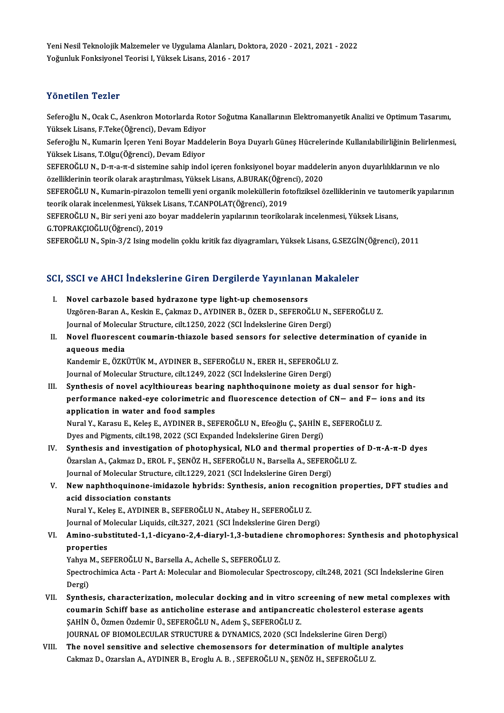Yeni Nesil Teknolojik Malzemeler ve Uygulama Alanları, Doktora, 2020 - 2021, 2021 - 2022<br>Yeğunluk Fenksiyenel Tearisi I. Vükselt Lisans, 2016 - 2017 Yeni Nesil Teknolojik Malzemeler ve Uygulama Alanları, Dok<br>Yoğunluk Fonksiyonel Teorisi I, Yüksek Lisans, 2016 - 2017 Yoğunluk Fonksiyonel Teorisi I, Yüksek Lisans, 2016 - 2017<br>Yönetilen Tezler

Yönetilen Tezler<br>Seferoğlu N., Ocak C., Asenkron Motorlarda Rotor Soğutma Kanallarının Elektromanyetik Analizi ve Optimum Tasarımı,<br>Yüksek Lisans, E.Teke(Öğrensi), Devam Ediyer Yüksek<br>Seferoğlu N., Ocak C., Asenkron Motorlarda Rot<br>Yüksek Lisans, F.Teke(Öğrenci), Devam Ediyor<br>Seferoğlu N., Kumarin İsaran Yani Boyar Madd Seferoğlu N., Ocak C., Asenkron Motorlarda Rotor Soğutma Kanallarının Elektromanyetik Analizi ve Optimum Tasarımı,<br>Yüksek Lisans, F.Teke(Öğrenci), Devam Ediyor<br>Seferoğlu N., Kumarin İçeren Yeni Boyar Maddelerin Boya Duyarl

Yüksek Lisans, F.Teke(Öğrenci), Devam Ediyor<br>Seferoğlu N., Kumarin İçeren Yeni Boyar Madd<br>Yüksek Lisans, T.Olgu(Öğrenci), Devam Ediyor<br>SEEEPOČLU N. D.T.3.T.d sistemine sahin inde Seferoğlu N., Kumarin İçeren Yeni Boyar Maddelerin Boya Duyarlı Güneş Hücrelerinde Kullanılabilirliğinin Belirlenn<br>Yüksek Lisans, T.Olgu(Öğrenci), Devam Ediyor<br>SEFEROĞLU N., D-π-a-π-d sistemine sahip indol içeren fonksiyo

Yüksek Lisans, T.Olgu(Öğrenci), Devam Ediyor<br>SEFEROĞLU N., D-π-a-π-d sistemine sahip indol içeren fonksiyonel boyar maddele<br>özelliklerinin teorik olarak araştırılması, Yüksek Lisans, A.BURAK(Öğrenci), 2020<br>SEEEROĞLU N. Ku SEFEROĞLU N., D-π-a-π-d sistemine sahip indol içeren fonksiyonel boyar maddelerin anyon duyarlılıklarının ve nlo<br>özelliklerinin teorik olarak araştırılması, Yüksek Lisans, A.BURAK(Öğrenci), 2020<br>SEFEROĞLU N., Kumarin-pira

özelliklerinin teorik olarak araştırılması, Yüksek Lisans, A.BURAK(Öğren<br>SEFEROĞLU N., Kumarin-pirazolon temelli yeni organik moleküllerin fo<br>teorik olarak incelenmesi, Yüksek Lisans, T.CANPOLAT(Öğrenci), 2019<br>SEEEROĞLU N. SEFEROĞLU N., Kumarin-pirazolon temelli yeni organik moleküllerin fotofiziksel özelliklerinin ve tauton<br>teorik olarak incelenmesi, Yüksek Lisans, T.CANPOLAT(Öğrenci), 2019<br>SEFEROĞLU N., Bir seri yeni azo boyar maddelerin y

teorik olarak incelenmesi, Yüksek Lisans, T.CANPOLAT(Öğrenci), 2019<br>SEFEROĞLU N., Bir seri yeni azo boyar maddelerin yapılarının teorikolarak incelenmesi, Yüksek Lisans,<br>G.TOPRAKÇIOĞLU(Öğrenci), 2019

SEFEROĞLU N., Spin-3/2 Ising modelin çoklu kritik faz diyagramları, Yüksek Lisans, G.SEZGİN(Öğrenci), 2011

# SEFEROGLO N., Spin-3/2 Ising modelin çoklu kritik faz diyagramları, yüksek Lisans, G.SEZGII<br>SCI, SSCI ve AHCI İndekslerine Giren Dergilerde Yayınlanan Makaleler

- CI, SSCI ve AHCI İndekslerine Giren Dergilerde Yayınlanar<br>I. Novel carbazole based hydrazone type light-up chemosensors<br>Uggëren Baran A. Keskin E. Calmaz D. AYDINER R. ÖZER D. SEEEROČ Uzgören-Baran A., Keskin E., Çakmaz D., AYDINER B., ÖZER D., SEFEROĞLU N., SEFEROĞLU Z.<br>Uzgören-Baran A., Keskin E., Çakmaz D., AYDINER B., ÖZER D., SEFEROĞLU N., SEFEROĞLU Z.<br>Journal of Mologylar Structure, gilt 1250, 202 Novel carbazole based hydrazone type light-up chemosensors<br>Uzgören-Baran A., Keskin E., Çakmaz D., AYDINER B., ÖZER D., SEFEROĞLU N.,<br>Journal of Molecular Structure, cilt.1250, 2022 (SCI İndekslerine Giren Dergi)<br>Novel flu Uzgören-Baran A., Keskin E., Çakmaz D., AYDINER B., ÖZER D., SEFEROĞLU N., SEFEROĞLU Z.<br>Journal of Molecular Structure, cilt.1250, 2022 (SCI İndekslerine Giren Dergi)<br>II. Novel fluorescent coumarin-thiazole based sensors f
- Journal of Molecular Structure, cilt.1250, 2022 (SCI İndekslerine Giren Dergi)<br>Novel fluorescent coumarin-thiazole based sensors for selective deter<br>aqueous media<br>Kandemir E., ÖZKÜTÜK M., AYDINER B., SEFEROĞLU N., ERER H., Novel fluorescent coumarin-thiazole based sensors for selective deter<br>aqueous media<br>Kandemir E., ÖZKÜTÜK M., AYDINER B., SEFEROĞLU N., ERER H., SEFEROĞLU Z.<br>Journal of Mologylar Structure, gilt 1240, 2022 (SCL Indekslerine

Journal of Molecular Structure, cilt.1249, 2022 (SCI İndekslerine Giren Dergi)

III. Synthesis of novel acylthioureas bearing naphthoquinone moiety as dual sensor for high-Journal of Molecular Structure, cilt.1249, 2022 (SCI İndekslerine Giren Dergi)<br>Synthesis of novel acylthioureas bearing naphthoquinone moiety as dual sensor for high-<br>performance naked-eye colorimetric and fluorescence de application in water and food samples<br>Nural Y., Karasu E., Keleş E., AYDINER B., SEFEROĞLU N., Efeoğlu Ç., ŞAHİN E., SEFEROĞLU Z. performance naked-eye colorimetric and fluorescence detection of CN— and F— i<br>application in water and food samples<br>Nural Y., Karasu E., Keleş E., AYDINER B., SEFEROĞLU N., Efeoğlu Ç., ŞAHİN E., SEFEROĞLU Z.<br>Dues and Birma

Dyes and Pigments, cilt.198, 2022 (SCI Expanded İndekslerine Giren Dergi)

Nural Y., Karasu E., Keleş E., AYDINER B., SEFEROĞLU N., Efeoğlu Ç., ŞAHİN E., SEFEROĞLU Z.<br>Dyes and Pigments, cilt.198, 2022 (SCI Expanded İndekslerine Giren Dergi)<br>IV. Synthesis and investigation of photophysical, NLO a Dyes and Pigments, cilt.198, 2022 (SCI Expanded İndekslerine Giren Dergi)<br>Synthesis and investigation of photophysical, NLO and thermal properties<br>Özarslan A., Çakmaz D., EROL F., ŞENÖZ H., SEFEROĞLU N., Barsella A., SEFER Synthesis and investigation of photophysical, NLO and thermal properties<br>Ozarslan A., Çakmaz D., EROL F., ŞENÖZ H., SEFEROĞLU N., Barsella A., SEFERO<br>Journal of Molecular Structure, cilt.1229, 2021 (SCI İndekslerine Giren Özarslan A., Çakmaz D., EROL F., ŞENÖZ H., SEFEROĞLU N., Barsella A., SEFEROĞLU Z.<br>Journal of Molecular Structure, cilt.1229, 2021 (SCI İndekslerine Giren Dergi)<br>V. New naphthoquinone-imidazole hybrids: Synthesis, anion re

# Journal of Molecular Structure,<br>New naphthoquinone-imida<br>acid dissociation constants<br>Nural V. Kolec E. AVDINER R. 1 New naphthoquinone-imidazole hybrids: Synthesis, anion recognacid dissociation constants<br>Nural Y., Keleş E., AYDINER B., SEFEROĞLU N., Atabey H., SEFEROĞLU Z.<br>Journal of Mologular Liquids, sit: 227, 2021 (SCL Indokalarine acid dissociation constants<br>Nural Y., Keleş E., AYDINER B., SEFEROĞLU N., Atabey H., SEFEROĞLU Z.<br>Journal of Molecular Liquids, cilt.327, 2021 (SCI İndekslerine Giren Dergi)<br>Amine, subetituted 1.1 diayane. 3.4 diayul 1.2 b

Nural Y., Keleş E., AYDINER B., SEFEROĞLU N., Atabey H., SEFEROĞLU Z.<br>Journal of Molecular Liquids, cilt.327, 2021 (SCI İndekslerine Giren Dergi)<br>VI. **Amino-substituted-1,1-dicyano-2,4-diaryl-1,3-butadiene chromophores** Journal of M<br><mark>Amino-sub</mark>:<br>properties<br><sup>Vobuo M. SE</sup> Amino-substituted-1,1-dicyano-2,4-diaryl-1,3-butadiene<br>properties<br>Yahya M., SEFEROĞLU N., Barsella A., Achelle S., SEFEROĞLU Z.<br>Spectrochimice Acta - Bart A. Malagylar and Biamologylar Spec

Yahya M., SEFEROĞLU N., Barsella A., Achelle S., SEFEROĞLU Z.

properties<br>Yahya M., SEFEROĞLU N., Barsella A., Achelle S., SEFEROĞLU Z.<br>Spectrochimica Acta - Part A: Molecular and Biomolecular Spectroscopy, cilt.248, 2021 (SCI İndekslerine Giren<br>Dergi) Spectrochimica Acta - Part A: Molecular and Biomolecular Spectroscopy, cilt.248, 2021 (SCI İndekslerine Giren<br>Dergi)<br>VII. Synthesis, characterization, molecular docking and in vitro screening of new metal complexes with<br>co

- Dergi)<br>Synthesis, characterization, molecular docking and in vitro screening of new metal complexe<br>coumarin Schiff base as anticholine esterase and antipancreatic cholesterol esterase agents<br>SAHIN Ö. Özmen Özdemin Ü. SEEER Synthesis, characterization, molecular docking and in vitro s<br>coumarin Schiff base as anticholine esterase and antipancrea<br>ŞAHİN Ö., Özmen Özdemir Ü., SEFEROĞLU N., Adem Ş., SEFEROĞLU Z.<br>JOUPMAL OF PIOMOLECULAR STRUCTURE & coumarin Schiff base as anticholine esterase and antipancreatic cholesterol esterase agents<br>ŞAHİN Ö., Özmen Özdemir Ü., SEFEROĞLU N., Adem Ş., SEFEROĞLU Z.<br>JOURNAL OF BIOMOLECULAR STRUCTURE & DYNAMICS, 2020 (SCI İndeksleri
- VIII. The novel sensitive and selective chemosensors for determination of multiple analytes Cakmaz D., Ozarslan A., AYDINER B., Eroglu A. B., SEFEROĞLU N., ŞENÖZ H., SEFEROĞLU Z.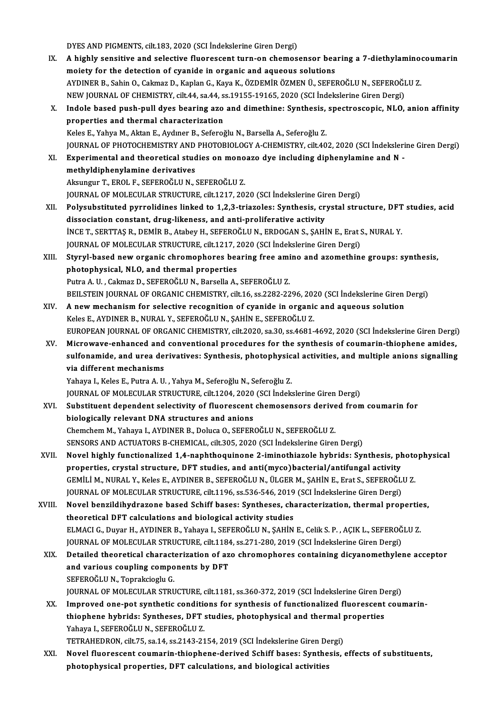DYES AND PIGMENTS, cilt.183, 2020 (SCI İndekslerine Giren Dergi)

- DYES AND PIGMENTS, cilt.183, 2020 (SCI İndekslerine Giren Dergi)<br>IX. A highly sensitive and selective fluorescent turn-on chemosensor bearing a 7-diethylaminocoumarin DYES AND PIGMENTS, cilt.183, 2020 (SCI Indekslerine Giren Dergi)<br>A highly sensitive and selective fluorescent turn-on chemosensor bea<br>moiety for the detection of cyanide in organic and aqueous solutions<br>AVDINED B. Sobin O. A highly sensitive and selective fluorescent turn-on chemosensor bearing a 7-diethylamino<br>moiety for the detection of cyanide in organic and aqueous solutions<br>AYDINER B., Sahin O., Cakmaz D., Kaplan G., Kaya K., ÖZDEMİR ÖZ moiety for the detection of cyanide in organic and aqueous solutions<br>AYDINER B., Sahin O., Cakmaz D., Kaplan G., Kaya K., ÖZDEMİR ÖZMEN Ü., SEFEROĞLU N., SEFEROĞI<br>NEW JOURNAL OF CHEMISTRY, cilt.44, sa.44, ss.19155-19165, 2 AYDINER B., Sahin O., Cakmaz D., Kaplan G., Kaya K., ÖZDEMİR ÖZMEN Ü., SEFEROĞLU N., SEFEROĞLU Z.<br>NEW JOURNAL OF CHEMISTRY, cilt.44, sa.44, ss.19155-19165, 2020 (SCI İndekslerine Giren Dergi)<br>X. Indole based push-pull dyes NEW JOURNAL OF CHEMISTRY, cilt.44, sa.44, ss.19155-19165, 2020 (SCI Indekslerine Giren Dergi)<br>Indole based push-pull dyes bearing azo and dimethine: Synthesis, spectroscopic, NLO,<br>properties and thermal characterization<br>Ke Indole based push-pull dyes bearing azo and dimethine: Synthesis,<br>properties and thermal characterization<br>Keles E., Yahya M., Aktan E., Aydıner B., Seferoğlu N., Barsella A., Seferoğlu Z.<br>JOUPMAL OF PHOTOCHEMISTRY AND PHOT JOURNALOF PHOTOCHEMISTRYANDPHOTOBIOLOGYA-CHEMISTRY, cilt.402,2020 (SCI İndekslerineGirenDergi) Keles E., Yahya M., Aktan E., Aydıner B., Seferoğlu N., Barsella A., Seferoğlu Z.<br>JOURNAL OF PHOTOCHEMISTRY AND PHOTOBIOLOGY A-CHEMISTRY, cilt.402, 2020 (SCI İndeksleri<br>XI. Experimental and theoretical studies on monoazo d JOURNAL OF PHOTOCHEMISTRY AND<br>Experimental and theoretical student<br>methyldiphenylamine derivatives Experimental and theoretical studies on mono<br>methyldiphenylamine derivatives<br>Aksungur T., EROL F., SEFEROĞLU N., SEFEROĞLU Z.<br>JOUPNAL OF MOLECULAR STRUCTURE sik 1217-20. methyldiphenylamine derivatives<br>Aksungur T., EROL F., SEFEROĞLU N., SEFEROĞLU Z.<br>JOURNAL OF MOLECULAR STRUCTURE, cilt.1217, 2020 (SCI İndekslerine Giren Dergi) Aksungur T., EROL F., SEFEROĞLU N., SEFEROĞLU Z.<br>JOURNAL OF MOLECULAR STRUCTURE, cilt.1217, 2020 (SCI İndekslerine Giren Dergi)<br>XII. Polysubstituted pyrrolidines linked to 1,2,3-triazoles: Synthesis, crystal structure, DFT JOURNAL OF MOLECULAR STRUCTURE, cilt.1217, 2020 (SCI indekslerine Gir<br>Polysubstituted pyrrolidines linked to 1,2,3-triazoles: Synthesis, cr<br>dissociation constant, drug-likeness, and anti-proliferative activity<br>INCE T, SERT Polysubstituted pyrrolidines linked to 1,2,3-triazoles: Synthesis, crystal structure, DFT<br>dissociation constant, drug-likeness, and anti-proliferative activity<br>INCE T., SERTTAŞ R., DEMİR B., Atabey H., SEFEROĞLU N., ERDOGA dissociation constant, drug-likeness, and anti-proliferative activity<br>INCE T., SERTTAŞ R., DEMIR B., Atabey H., SEFEROĞLU N., ERDOGAN S., ŞAHIN E., Erat S., NURAL Y. XIII. Styryl-based new organic chromophores bearing free amino and azomethine groups: synthesis,<br>photophysical, NLO, and thermal properties JOURNAL OF MOLECULAR STRUCTURE, cilt.1217, 2020 (SCI İndekslerine Giren Dergi) Putra A.U., Cakmaz D., SEFEROĞLU N., Barsella A., SEFEROĞLU Z. photophysical, NLO, and thermal properties<br>Putra A. U. , Cakmaz D., SEFEROĞLU N., Barsella A., SEFEROĞLU Z.<br>BEILSTEIN JOURNAL OF ORGANIC CHEMISTRY, cilt.16, ss.2282-2296, 2020 (SCI İndekslerine Giren Dergi)<br>A new meshanism Putra A. U. , Cakmaz D., SEFEROĞLU N., Barsella A., SEFEROĞLU Z.<br>BEILSTEIN JOURNAL OF ORGANIC CHEMISTRY, cilt.16, ss.2282-2296, 2020 (SCI İndekslerine Giren<br>XIV. A new mechanism for selective recognition of cyanide in A new mechanism for selective recognition of cyanide in organic and aqueous solution Keles E., AYDINER B., NURAL Y., SEFEROĞLUN., ŞAHİN E., SEFEROĞLU Z. A new mechanism for selective recognition of cyanide in organic and aqueous solution<br>Keles E., AYDINER B., NURAL Y., SEFEROĞLU N., ŞAHİN E., SEFEROĞLU Z.<br>EUROPEAN JOURNAL OF ORGANIC CHEMISTRY, cilt.2020, sa.30, ss.4681-469 Keles E., AYDINER B., NURAL Y., SEFEROĞLU N., ŞAHİN E., SEFEROĞLU Z.<br>EUROPEAN JOURNAL OF ORGANIC CHEMISTRY, cilt.2020, sa.30, ss.4681-4692, 2020 (SCI İndekslerine Giren Dergi<br>XV. Microwave-enhanced and conventional procedu EUROPEAN JOURNAL OF ORGANIC CHEMISTRY, cilt.2020, sa.30, ss.4681-4692, 2020 (SCI İndekslerine Giren Dergi)<br>Microwave-enhanced and conventional procedures for the synthesis of coumarin-thiophene amides,<br>sulfonamide, and ure Microwave-enhanced and conventional procedures for the synthesis of coumarin-thiophene amides, sulfonamide, and urea derivatives: Synthesis, photophysical activities, and multiple anions signalling via different mechanisms Yahaya I., Keles E., Putra A. U., Yahya M., Seferoğlu N., Seferoğlu Z. <mark>via different mechanisms</mark><br>Yahaya I., Keles E., Putra A. U. , Yahya M., Seferoğlu N., Seferoğlu Z.<br>JOURNAL OF MOLECULAR STRUCTURE, cilt.1204, 2020 (SCI İndekslerine Giren Dergi)<br>Substituant danandant selestiyity of fluares XVI. Substituent dependent selectivity of fluorescent chemosensors derived fromcoumarin for JOURNAL OF MOLECULAR STRUCTURE, cilt.1204, 2020<br>Substituent dependent selectivity of fluorescent<br>biologically relevant DNA structures and anions<br>Chameham M. Yahawa L. AYDINER B. Dalyas O. SEEER Chemchem M., Yahaya I., AYDINER B., Doluca O., SEFEROĞLU N., SEFEROĞLU Z. SENSORS AND ACTUATORS B-CHEMICAL, cilt.305, 2020 (SCI İndekslerine Giren Dergi) XVII. Novel highly functionalized 1,4-naphthoquinone 2-iminothiazole hybrids: Synthesis, photophysical SENSORS AND ACTUATORS B-CHEMICAL, cilt.305, 2020 (SCI İndekslerine Giren Dergi)<br>Novel highly functionalized 1,4-naphthoquinone 2-iminothiazole hybrids: Synthesis, pl<br>properties, crystal structure, DFT studies, and anti(myc Novel highly functionalized 1,4-naphthoquinone 2-iminothiazole hybrids: Synthesis, photo<br>properties, crystal structure, DFT studies, and anti(myco)bacterial/antifungal activity<br>GEMİLİ M., NURAL Y., Keles E., AYDINER B., SE properties, crystal structure, DFT studies, and anti(myco)bacterial/antifungal activity<br>GEMİLİ M., NURAL Y., Keles E., AYDINER B., SEFEROĞLU N., ÜLGER M., ŞAHİN E., Erat S., SEFEROĞL<br>JOURNAL OF MOLECULAR STRUCTURE, cilt.11 GEMİLİ M., NURAL Y., Keles E., AYDINER B., SEFEROĞLU N., ÜLGER M., ŞAHİN E., Erat S., SEFEROĞLU Z.<br>JOURNAL OF MOLECULAR STRUCTURE, cilt.1196, ss.536-546, 2019 (SCI İndekslerine Giren Dergi)<br>XVIII. Novel benzildihydrazone b JOURNAL OF MOLECULAR STRUCTURE, cilt.1196, ss.536-546, 2019<br>Novel benzildihydrazone based Schiff bases: Syntheses, ch:<br>theoretical DFT calculations and biological activity studies<br>ELMACLE, Duyar H. AVDINER R. Yoboya L. SEE Novel benzildihydrazone based Schiff bases: Syntheses, characterization, thermal propertie<br>theoretical DFT calculations and biological activity studies<br>ELMACI G., Duyar H., AYDINER B., Yahaya I., SEFEROĞLU N., ŞAHİN E., Ce theoretical DFT calculations and biological activity studies<br>ELMACI G., Duyar H., AYDINER B., Yahaya I., SEFEROĞLU N., ŞAHİN E., Celik S. P. , AÇIK L., SEFEROĞ<br>JOURNAL OF MOLECULAR STRUCTURE, cilt.1184, ss.271-280, 2019 (S ELMACI G., Duyar H., AYDINER B., Yahaya I., SEFEROĞLU N., ŞAHİN E., Celik S. P. , AÇIK L., SEFEROĞLU Z.<br>JOURNAL OF MOLECULAR STRUCTURE, cilt.1184, ss.271-280, 2019 (SCI İndekslerine Giren Dergi)<br>XIX. Detailed theoretical c JOURNAL OF MOLECULAR STRUCTURE, cilt.1184<br>Detailed theoretical characterization of az<br>and various coupling components by DFT<br>SEEEDOČLUN Tenreksiesly C Detailed theoretical charact<br>and various coupling compo<br>SEFEROĞLU N., Toprakcioglu G.<br>JOUPNAL OF MOLECULAP STRU and various coupling components by DFT<br>SEFEROĞLU N., Toprakcioglu G.<br>JOURNAL OF MOLECULAR STRUCTURE, cilt.1181, ss.360-372, 2019 (SCI İndekslerine Giren Dergi)<br>Impreved ene pet synthetic senditions for synthesis of functio SEFEROĞLU N., Toprakcioglu G.<br>JOURNAL OF MOLECULAR STRUCTURE, cilt.1181, ss.360-372, 2019 (SCI İndekslerine Giren Dergi)<br>XX. Improved one-pot synthetic conditions for synthesis of functionalized fluorescent coumarin-<br>thion JOURNAL OF MOLECULAR STRUCTURE, cilt.1181, ss.360-372, 2019 (SCI İndekslerine Giren De Improved one-pot synthetic conditions for synthesis of functionalized fluorescent<br>thiophene hybrids: Syntheses, DFT studies, photophysi Improved one-pot synthetic condition<br>thiophene hybrids: Syntheses, DFT<br>Yahaya I., SEFEROĞLU N., SEFEROĞLU Z.<br>TETPAHEDPON silt 75-se 14-se 3143-31 thiophene hybrids: Syntheses, DFT studies, photophysical and thermal properties<br>Yahaya I., SEFEROĞLU N., SEFEROĞLU Z.<br>TETRAHEDRON, cilt.75, sa.14, ss.2143-2154, 2019 (SCI İndekslerine Giren Dergi) Yahaya I., SEFEROĞLU N., SEFEROĞLU Z.<br>TETRAHEDRON, cilt.75, sa.14, ss.2143-2154, 2019 (SCI İndekslerine Giren Dergi)<br>XXI. Novel fluorescent coumarin-thiophene-derived Schiff bases: Synthesis, effects of substituents,<br>nhata TETRAHEDRON, cilt.75, sa.14, ss.2143-2154, 2019 (SCI İndekslerine Giren De<br>Novel fluorescent coumarin-thiophene-derived Schiff bases: Synthe<br>photophysical properties, DFT calculations, and biological activities
	-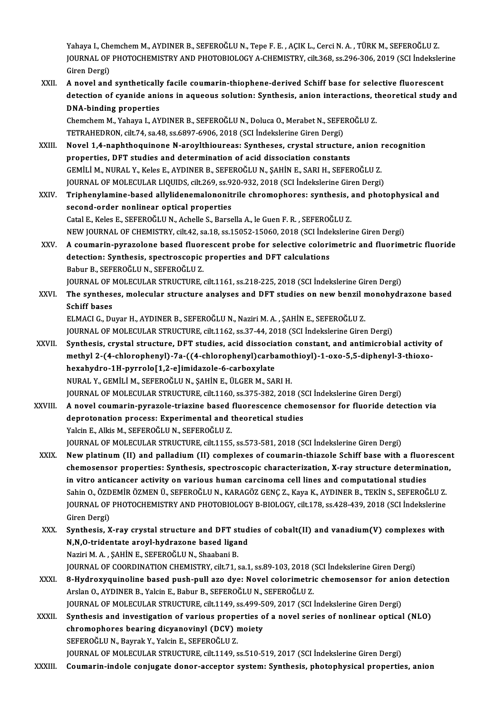Yahaya I., Chemchem M., AYDINER B., SEFEROĞLU N., Tepe F. E., AÇIK L., Cerci N. A., TÜRK M., SEFEROĞLU Z. Yahaya I., Chemchem M., AYDINER B., SEFEROĞLU N., Tepe F. E. , AÇIK L., Cerci N. A. , TÜRK M., SEFEROĞLU Z.<br>JOURNAL OF PHOTOCHEMISTRY AND PHOTOBIOLOGY A-CHEMISTRY, cilt.368, ss.296-306, 2019 (SCI İndekslerine Yahaya I., Che<br>JOURNAL OF<br>Giren Dergi)<br>A naval and JOURNAL OF PHOTOCHEMISTRY AND PHOTOBIOLOGY A-CHEMISTRY, cilt.368, ss.296-306, 2019 (SCI Indeksler<br>Giren Dergi)<br>XXII. A novel and synthetically facile coumarin-thiophene-derived Schiff base for selective fluorescent<br>detecti

Giren Dergi)<br>A novel and synthetically facile coumarin-thiophene-derived Schiff base for selective fluorescent<br>detection of cyanide anions in aqueous solution: Synthesis, anion interactions, theoretical study and<br>DNA-bindi A novel and synthetically<br>detection of cyanide anie<br>DNA-binding properties<br>Chamsham M Yahaw L AY detection of cyanide anions in aqueous solution: Synthesis, anion interactions, t<br>DNA-binding properties<br>Chemchem M., Yahaya I., AYDINER B., SEFEROĞLU N., Doluca O., Merabet N., SEFEROĞLU Z.<br>TETPAUEDPON, silt 74, sa 48, ss

DNA-binding properties<br>Chemchem M., Yahaya I., AYDINER B., SEFEROĞLU N., Doluca O., Merabet N., SEFE<br>TETRAHEDRON, cilt.74, sa.48, ss.6897-6906, 2018 (SCI İndekslerine Giren Dergi)<br>Navel 1.4, paphthoquinone N. angylthiourea TETRAHEDRON, cilt.74, sa.48, ss.6897-6906, 2018 (SCI Indekslerine Giren Dergi)<br>XXIII. Novel 1.4-naphthoquinone N-aroylthioureas: Syntheses, crystal structure, anion recognition

- properties, DFT studies and determination of acid dissociation constants GEMİLİM.,NURAL Y.,KelesE.,AYDINERB.,SEFEROĞLUN.,ŞAHİNE.,SARIH.,SEFEROĞLUZ. JOURNAL OF MOLECULAR LIQUIDS, cilt.269, ss.920-932, 2018 (SCI İndekslerine Giren Dergi)
- XXIV. Triphenylamine-based allylidenemalononitrile chromophores: synthesis, and photophysical and second-order nonlinear optical properties Catal E., Keles E., SEFEROĞLU N., Achelle S., Barsella A., le Guen F. R., SEFEROĞLU Z. second-order nonlinear optical properties<br>Catal E., Keles E., SEFEROĞLU N., Achelle S., Barsella A., le Guen F. R. , SEFEROĞLU Z.<br>NEW JOURNAL OF CHEMISTRY, cilt.42, sa.18, ss.15052-15060, 2018 (SCI İndekslerine Giren Dergi Catal E., Keles E., SEFEROĞLU N., Achelle S., Barsella A., le Guen F. R. , SEFEROĞLU Z.<br>NEW JOURNAL OF CHEMISTRY, cilt.42, sa.18, ss.15052-15060, 2018 (SCI İndekslerine Giren Dergi)<br>XXV. A coumarin-pyrazolone based fluores
- NEW JOURNAL OF CHEMISTRY, cilt.42, sa.18, ss.15052-15060, 2018 (SCI inde<br>A coumarin-pyrazolone based fluorescent probe for selective colori<br>detection: Synthesis, spectroscopic properties and DFT calculations<br>Behur B. SEEER A coumarin-pyrazolone based fluor<br>detection: Synthesis, spectroscopic<br>Babur B., SEFEROĞLU N., SEFEROĞLU Z.<br>JOUPNAL OF MOLECULAR STRUCTURE detection: Synthesis, spectroscopic properties and DFT calculations<br>Babur B., SEFEROĞLU N., SEFEROĞLU Z.<br>JOURNAL OF MOLECULAR STRUCTURE, cilt.1161, ss.218-225, 2018 (SCI İndekslerine Giren Dergi)<br>The syntheses, malecular s

# Babur B., SEFEROĞLU N., SEFEROĞLU Z.<br>JOURNAL OF MOLECULAR STRUCTURE, cilt.1161, ss.218-225, 2018 (SCI İndekslerine Giren Dergi)<br>XXVI. The syntheses, molecular structure analyses and DFT studies on new benzil monohydrazone **JOURNAL OF 1**<br>The synthes<br>Schiff bases<br>ELMACLC Dr The syntheses, molecular structure analyses and DFT studies on new benzil r<br>Schiff bases<br>ELMACI G., Duyar H., AYDINER B., SEFEROĞLU N., Naziri M. A. , ŞAHİN E., SEFEROĞLU Z.<br>JOUPMAL OF MOLECULAR STRUCTURE silt 1162, se 27. Schiff bases<br>ELMACI G., Duyar H., AYDINER B., SEFEROĞLU N., Naziri M. A. , ŞAHİN E., SEFEROĞLU Z.<br>JOURNAL OF MOLECULAR STRUCTURE, cilt.1162, ss.37-44, 2018 (SCI İndekslerine Giren Dergi)<br>Synthosis, arystal structure, DET s

- ELMACI G., Duyar H., AYDINER B., SEFEROĞLU N., Naziri M. A. , ŞAHİN E., SEFEROĞLU Z.<br>JOURNAL OF MOLECULAR STRUCTURE, cilt.1162, ss.37-44, 2018 (SCI İndekslerine Giren Dergi)<br>XXVII. Synthesis, crystal structure, DFT studies JOURNAL OF MOLECULAR STRUCTURE, cilt.1162, ss.37-44, 2018 (SCI İndekslerine Giren Dergi)<br>Synthesis, crystal structure, DFT studies, acid dissociation constant, and antimicrobial activity<br>methyl 2-(4-chlorophenyl)-7a-((4-ch Synthesis, crystal structure, DFT studies, acid dissocia<br>methyl 2-(4-chlorophenyl)-7a-((4-chlorophenyl)carba<br>hexahydro-1H-pyrrolo[1,2-e]imidazole-6-carboxylate<br>NURAL Y CEMULLA SEEEPOČLUN SAHINE JUCER M SA methyl 2-(4-chlorophenyl)-7a-((4-chlorophenyl)carbamothioyl)-1-oxo-5,5-diphenyl-3-thioxo-<br>hexahydro-1H-pyrrolo[1,2-e]imidazole-6-carboxylate<br>NURAL Y., GEMİLİ M., SEFEROĞLU N., ŞAHİN E., ÜLGER M., SARI H. hexahydro-1H-pyrrolo[1,2-e]imidazole-6-carboxylate<br>NURAL Y., GEMİLİ M., SEFEROĞLU N., ŞAHİN E., ÜLGER M., SARI H.<br>JOURNAL OF MOLECULAR STRUCTURE, cilt.1160, ss.375-382, 2018 (SCI İndekslerine Giren Dergi)<br>A novel seumerin
- XXVIII. A novel coumarin-pyrazole-triazine based fluorescence chemosensor for fluoride detection via<br>deprotonation process: Experimental and theoretical studies JOURNAL OF MOLECULAR STRUCTURE, cilt.1160, ss.375-382, 2018 (S<br>A novel coumarin-pyrazole-triazine based fluorescence chem<br>deprotonation process: Experimental and theoretical studies<br>Vakin E. Alkia M. SEEEROČLU N. SEEEROČLU Yalcin E., Alkis M., SEFEROĞLUN., SEFEROĞLUZ. deprotonation process: Experimental and theoretical studies<br>Yalcin E., Alkis M., SEFEROĞLU N., SEFEROĞLU Z.<br>JOURNAL OF MOLECULAR STRUCTURE, cilt.1155, ss.573-581, 2018 (SCI İndekslerine Giren Dergi)<br>Nav platinum (II) and p Yalcin E., Alkis M., SEFEROĞLU N., SEFEROĞLU Z.<br>JOURNAL OF MOLECULAR STRUCTURE, cilt.1155, ss.573-581, 2018 (SCI İndekslerine Giren Dergi)<br>XXIX. New platinum (II) and palladium (II) complexes of coumarin-thiazole Schiff ba
- JOURNAL OF MOLECULAR STRUCTURE, cilt.1155, ss.573-581, 2018 (SCI İndekslerine Giren Dergi)<br>New platinum (II) and palladium (II) complexes of coumarin-thiazole Schiff base with a fluorescen<br>chemosensor properties: Synthesis New platinum (II) and palladium (II) complexes of coumarin-thiazole Schiff base with a fluor<br>chemosensor properties: Synthesis, spectroscopic characterization, X-ray structure determin<br>in vitro anticancer activity on vario chemosensor properties: Synthesis, spectroscopic characterization, X-ray structure determination<br>in vitro anticancer activity on various human carcinoma cell lines and computational studies<br>Sahin O., ÖZDEMİR ÖZMEN Ü., SEFE in vitro anticancer activity on various human carcinoma cell lines and computational studies<br>Sahin O., ÖZDEMİR ÖZMEN Ü., SEFEROĞLU N., KARAGÖZ GENÇ Z., Kaya K., AYDINER B., TEKİN S., SEFEROĞLU Z.<br>JOURNAL OF PHOTOCHEMISTRY Sahin O., ÖZD<br>JOURNAL OF<br>Giren Dergi)<br>Sunthesis X JOURNAL OF PHOTOCHEMISTRY AND PHOTOBIOLOGY B-BIOLOGY, cilt.178, ss.428-439, 2018 (SCI Indekslerine<br>Giren Dergi)<br>XXX. Synthesis, X-ray crystal structure and DFT studies of cobalt(II) and vanadium(V) complexes with<br>N.N.O. tr
- Giren Dergi)<br>Synthesis, X-ray crystal structure and DFT stud<br>N,N,O-tridentate aroyl-hydrazone based ligand<br>Nariri M,A, SAHİN E, SEEERQČLUN, Shashani B Synthesis, X-ray crystal structure and DFT st<br>N,N,O-tridentate aroyl-hydrazone based liga<br>Naziri M. A. , ŞAHİN E., SEFEROĞLU N., Shaabani B.<br>JOUPNAL OF COOPDINATION CHEMISTRY silt 71 . N,N,O-tridentate aroyl-hydrazone based ligand<br>Naziri M. A. , ŞAHİN E., SEFEROĞLU N., Shaabani B.<br>JOURNAL OF COORDINATION CHEMISTRY, cilt.71, sa.1, ss.89-103, 2018 (SCI İndekslerine Giren Dergi)<br>8. Hydroxyayineline based nu Naziri M. A. , ŞAHİN E., SEFEROĞLU N., Shaabani B.<br>JOURNAL OF COORDINATION CHEMISTRY, cilt.71, sa.1, ss.89-103, 2018 (SCI İndekslerine Giren Dergi)<br>XXXI. 8-Hydroxyquinoline based push-pull azo dye: Novel colorimetric chemo
- JOURNAL OF COORDINATION CHEMISTRY, cilt.71, sa.1, ss.89-103, 2018 (<br>8-Hydroxyquinoline based push-pull azo dye: Novel colorimetri<br>Arslan O., AYDINER B., Yalcin E., Babur B., SEFEROĞLU N., SEFEROĞLU Z.<br>JOURNAL OE MOLECULAR 8-Hydroxyquinoline based push-pull azo dye: Novel colorimetric chemosensor for anionalistic and the set of the<br>Arslan O., AYDINER B., Yalcin E., Babur B., SEFEROĞLU N., SEFEROĞLU Z.<br>JOURNAL OF MOLECULAR STRUCTURE, cilt.114 Arslan O., AYDINER B., Yalcin E., Babur B., SEFEROĞLU N., SEFEROĞLU Z.<br>JOURNAL OF MOLECULAR STRUCTURE, cilt.1149, ss.499-509, 2017 (SCI İndekslerine Giren Dergi)<br>XXXII. Synthesis and investigation of various properties of
- JOURNAL OF MOLECULAR STRUCTURE, cilt.1149, ss.499-509, 2017 (SCI İndekslerine Giren Dergi)<br>Synthesis and investigation of various properties of a novel series of nonlinear optica<br>chromophores bearing dicyanovinyl (DCV) moi chromophores bearing dicyanovinyl (DCV) moiety

JOURNAL OF MOLECULAR STRUCTURE, cilt.1149, ss.510-519, 2017 (SCI İndekslerine Giren Dergi)

XXXIII. Coumarin-indole conjugate donor-acceptor system: Synthesis, photophysical properties, anion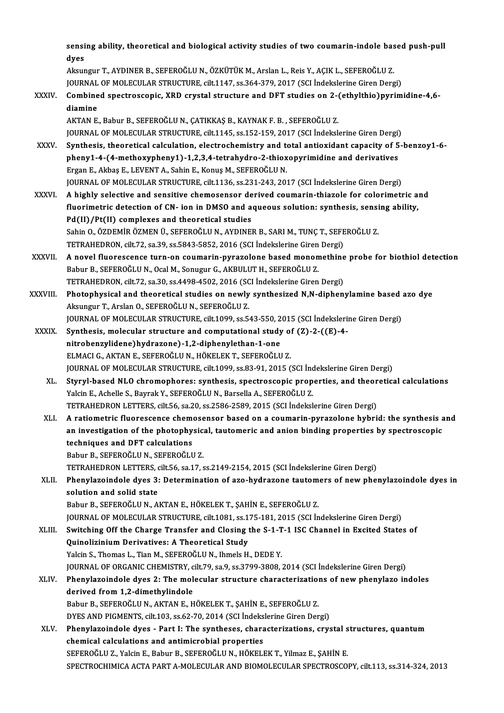sensing ability, theoretical and biological activity studies of two coumarin-indole based push-pull<br>dyee sensi<br>dyes<br>Akayr sensing ability, theoretical and biological activity studies of two coumarin-indole base<br>dyes<br>Aksungur T., AYDINER B., SEFEROĞLU N., ÖZKÜTÜK M., Arslan L., Reis Y., AÇIK L., SEFEROĞLU Z.<br>JOUPMAL OF MOLECULAR STRUCTURE silt

dyes<br>Aksungur T., AYDINER B., SEFEROĞLU N., ÖZKÜTÜK M., Arslan L., Reis Y., AÇIK L., SEFEROĞLU Z.<br>JOURNAL OF MOLECULAR STRUCTURE, cilt.1147, ss.364-379, 2017 (SCI İndekslerine Giren Dergi)<br>Cambinad apastrossonis, XPD suyst

Aksungur T., AYDINER B., SEFEROĞLU N., ÖZKÜTÜK M., Arslan L., Reis Y., AÇIK L., SEFEROĞLU Z.<br>JOURNAL OF MOLECULAR STRUCTURE, cilt.1147, ss.364-379, 2017 (SCI İndekslerine Giren Dergi)<br>XXXIV. Combined spectroscopic, XRD cry **JOURNAL<br>Combine<br>diamine**<br>AKTAN E

AKTAN E., Babur B., SEFEROĞLU N., ÇATIKKAŞ B., KAYNAK F. B. , SEFEROĞLU Z. JOURNAL OF MOLECULAR STRUCTURE, cilt.1145, ss.152-159, 2017 (SCI İndekslerine Giren Dergi)

- XXXV. Synthesis, theoretical calculation, electrochemistry and total antioxidant capacity of 5-benzoy1-6- JOURNAL OF MOLECULAR STRUCTURE, cilt.1145, ss.152-159, 2017 (SCI İndekslerine Giren Dergi)<br>Synthesis, theoretical calculation, electrochemistry and total antioxidant capacity of 5<br>pheny1-4-(4-methoxypheny1)-1,2,3,4-tetrahy Synthesis, theoretical calculation, electrochemistry and to<br>pheny1-4-(4-methoxypheny1)-1,2,3,4-tetrahydro-2-thiox<br>Ergan E., Akbaş E., LEVENT A., Sahin E., Konuş M., SEFEROĞLU N.<br>JOUPMAL OF MOLECULAR STRUCTURE silt 1126, 89 pheny1-4-(4-methoxypheny1)-1,2,3,4-tetrahydro-2-thioxopyrimidine and derivatives<br>Ergan E., Akbaş E., LEVENT A., Sahin E., Konuş M., SEFEROĞLU N.<br>JOURNAL OF MOLECULAR STRUCTURE, cilt.1136, ss.231-243, 2017 (SCI İndekslerine Ergan E., Akbaş E., LEVENT A., Sahin E., Konuş M., SEFEROĞLU N.<br>1136, ss.231-243, 2017 (SCI İndekslerine Giren Dergi)<br>XXXVI. A highly selective and sensitive chemosensor derived coumarin-thiazole for colorimetric and
- JOURNAL OF MOLECULAR STRUCTURE, cilt.1136, ss.231-243, 2017 (SCI İndekslerine Giren Dergi)<br>A highly selective and sensitive chemosensor derived coumarin-thiazole for colorimetric a<br>fluorimetric detection of CN- ion in DMSO A highly selective and sensitive chemosensor de<br>fluorimetric detection of CN- ion in DMSO and a<br>Pd(II)/Pt(II) complexes and theoretical studies<br>Sebin O. ÖZDEMİP ÖZMEN Ü. SEEEPOČLUN, AVDINEI fluorimetric detection of CN- ion in DMSO and aqueous solution: synthesis, sensi<br>Pd(II)/Pt(II) complexes and theoretical studies<br>Sahin O., ÖZDEMİR ÖZMEN Ü., SEFEROĞLU N., AYDINER B., SARI M., TUNÇ T., SEFEROĞLU Z.<br>TETRAHED Pd(II)/Pt(II) complexes and theoretical studies<br>Sahin O., ÖZDEMİR ÖZMEN Ü., SEFEROĞLU N., AYDINER B., SARI M., TUNÇ T., SEFEROĞLU Z. TETRAHEDRON, cilt.72, sa.39, ss.5843-5852, 2016 (SCI İndekslerine Giren Dergi)
- XXXVII. A novel fluorescence turn-on coumarin-pyrazolone based monomethine probe for biothiol detection<br>Babur B., SEFEROĞLU N., Ocal M., Sonugur G., AKBULUT H., SEFEROĞLU Z. A novel fluorescence turn-on coumarin-pyrazolone based monomethine<br>Babur B., SEFEROĞLU N., Ocal M., Sonugur G., AKBULUT H., SEFEROĞLU Z.<br>TETRAHEDRON, cilt.72, sa.30, ss.4498-4502, 2016 (SCI İndekslerine Giren Dergi)<br>Phatan
- XXXVIII. Photophysical and theoretical studies on newly synthesized N,N-diphenylamine based azo dye<br>Aksungur T., Arslan O., SEFEROĞLU N., SEFEROĞLU Z. TETRAHEDRON, cilt.72, sa.30, ss.4498-4502, 2016 (SC<br>Photophysical and theoretical studies on newly<br>Aksungur T., Arslan O., SEFEROĞLU N., SEFEROĞLU Z.<br>JOUPMAL OE MOLECULAP STPUCTURE silt 1099, SE 5 Photophysical and theoretical studies on newly synthesized N,N-diphenylamine based<br>Aksungur T., Arslan O., SEFEROĞLU N., SEFEROĞLU Z.<br>JOURNAL OF MOLECULAR STRUCTURE, cilt.1099, ss.543-550, 2015 (SCI İndekslerine Giren Derg Aksungur T., Arslan O., SEFEROĞLU N., SEFEROĞLU Z.<br>JOURNAL OF MOLECULAR STRUCTURE, cilt.1099, ss.543-550, 2015 (SCI İndekslerii<br>XXXIX. Synthesis, molecular structure and computational study of (Z)-2-((E)-4-<br>nitrebanzulidan
- JOURNAL OF MOLECULAR STRUCTURE, cilt.1099, ss.543-550, 2<br>Synthesis, molecular structure and computational study<br>nitrobenzylidene)hydrazone)-1,2-diphenylethan-1-one<br>ELMACLO AKTAN E SEEEPOČLUN, HÖKELEK T SEEEPOČLU Synthesis, molecular structure and computational study of<br>nitrobenzylidene)hydrazone)-1,2-diphenylethan-1-one<br>ELMACI G., AKTAN E., SEFEROĞLU N., HÖKELEK T., SEFEROĞLU Z.<br>JOUPNAL OF MOLECULAR STRUCTURE silt 1000-89.89.91-20 nitrobenzylidene)hydrazone)-1,2-diphenylethan-1-one<br>ELMACI G., AKTAN E., SEFEROĞLU N., HÖKELEK T., SEFEROĞLU Z.<br>JOURNAL OF MOLECULAR STRUCTURE, cilt.1099, ss.83-91, 2015 (SCI İndekslerine Giren Dergi) ELMACI G., AKTAN E., SEFEROĞLU N., HÖKELEK T., SEFEROĞLU Z.<br>JOURNAL OF MOLECULAR STRUCTURE, cilt.1099, ss.83-91, 2015 (SCI İndekslerine Giren Dergi)<br>XL. Styryl-based NLO chromophores: synthesis, spectroscopic properties, a
	- Yalcin E., Achelle S., Bayrak Y., SEFEROĞLU N., Barsella A., SEFEROĞLU Z.<br>TETRAHEDRON LETTERS, cilt.56, sa.20, ss.2586-2589, 2015 (SCI İndekslerine Giren Dergi) Styryl-based NLO chromophores: synthesis, spectroscopic properties, and theor<br>Yalcin E., Achelle S., Bayrak Y., SEFEROĞLU N., Barsella A., SEFEROĞLU Z.<br>TETRAHEDRON LETTERS, cilt.56, sa.20, ss.2586-2589, 2015 (SCI İndeksler
	- XLI. A ratiometric fluorescence chemosensor based on a coumarin-pyrazolone hybrid: the synthesis and TETRAHEDRON LETTERS, cilt.56, sa.20, ss.2586-2589, 2015 (SCI İndekslerine Giren Dergi)<br>A ratiometric fluorescence chemosensor based on a coumarin-pyrazolone hybrid: the synthesis a<br>an investigation of the photophysical, ta A ratiometric fluorescence cheme<br>an investigation of the photophy<br>techniques and DFT calculations<br>Pehun B. SEEEROČLU N. SEEEROČLU an investigation of the photophysic:<br>techniques and DFT calculations<br>Babur B., SEFEROĞLU N., SEFEROĞLU Z.<br>TETRAHEDRON LETTERS silt 56 sa 17 4 techniques and DFT calculations<br>Babur B., SEFEROĞLU N., SEFEROĞLU Z.<br>TETRAHEDRON LETTERS, cilt.56, sa.17, ss.2149-2154, 2015 (SCI İndekslerine Giren Dergi)<br>Phonylareindele dyes 3: Determination of are hydnagene tautomers o

# Babur B., SEFEROĞLU N., SEFEROĞLU Z.<br>TETRAHEDRON LETTERS, cilt.56, sa.17, ss.2149-2154, 2015 (SCI İndekslerine Giren Dergi)<br>XLII. Phenylazoindole dyes 3: Determination of azo-hydrazone tautomers of new phenylazoindole dyes TETRAHEDRON LETTERS, o<br>Phenylazoindole dyes 3:<br>solution and solid state<br>Pabur B. SEEEPOČLUN. A solution and solid state<br>Babur B., SEFEROĞLU N., AKTAN E., HÖKELEK T., ŞAHİN E., SEFEROĞLU Z.<br>JOURNAL OF MOLECULAR STRUCTURE, cilt.1081, ss.175-181, 2015 (SCI İndekslerine Giren Dergi)<br>Suitsbing Off the Charge Transfer and

Babur B., SEFEROĞLU N., AKTAN E., HÖKELEK T., ŞAHİN E., SEFEROĞLU Z.

# Babur B., SEFEROĞLU N., AKTAN E., HÖKELEK T., ŞAHİN E., SEFEROĞLU Z.<br>JOURNAL OF MOLECULAR STRUCTURE, cilt.1081, ss.175-181, 2015 (SCI İndekslerine Giren Dergi)<br>XLIII. Switching Off the Charge Transfer and Closing the S-1-T JOURNAL OF MOLECULAR STRUCTURE, cilt.1081, ss.1<br>Switching Off the Charge Transfer and Closing<br>Quinolizinium Derivatives: A Theoretical Study<br>Yakin S. Thomas J. Tian M. SEEEPOČLU N. Ihmela H Switching Off the Charge Transfer and Closing the S-1-T-1 ISC Channel in Excited States of<br>Quinolizinium Derivatives: A Theoretical Study<br>Yalcin S., Thomas L., Tian M., SEFEROĞLUN., Ihmels H., DEDE Y. Quinolizinium Derivatives: A Theoretical Study<br>Yalcin S., Thomas L., Tian M., SEFEROĞLU N., Ihmels H., DEDE Y.<br>JOURNAL OF ORGANIC CHEMISTRY, cilt.79, sa.9, ss.3799-3808, 2014 (SCI İndekslerine Giren Dergi)<br>Phenylageindele

# XLIV. Phenylazoindole dyes 2: The molecular structure characterizations of new phenylazo indoles<br>derived from 1.2-dimethylindole JOURNAL OF ORGANIC CHEMISTRY, c<br>Phenylazoindole dyes 2: The mol<br>derived from 1,2-dimethylindole<br>Pehur B. SEEEROČLU N. AKTAN E. H Phenylazoindole dyes 2: The molecular structure characterization<br>derived from 1,2-dimethylindole<br>Babur B., SEFEROĞLU N., AKTAN E., HÖKELEK T., ŞAHİN E., SEFEROĞLU Z.<br>DYES AND BICMENTS. silt 103, 33.63.70, 2014 (SCI İndeksl derived from 1,2-dimethylindole<br>Babur B., SEFEROĞLU N., AKTAN E., HÖKELEK T., ŞAHİN E., SEFEROĞLU Z.<br>DYES AND PIGMENTS, cilt.103, ss.62-70, 2014 (SCI İndekslerine Giren Dergi)<br>Phanylazaindala dyas... Part I: The syntheses,

Babur B., SEFEROĞLU N., AKTAN E., HÖKELEK T., ŞAHİN E., SEFEROĞLU Z.<br>DYES AND PIGMENTS, cilt.103, ss.62-70, 2014 (SCI İndekslerine Giren Dergi)<br>XLV. Phenylazoindole dyes - Part I: The syntheses, characterizations, crystal DYES AND PIGMENTS, cilt.103, ss.62-70, 2014 (SCI İndeks<br>Phenylazoindole dyes - Part I: The syntheses, chara<br>chemical calculations and antimicrobial properties<br>SEEEDOČLUZ, Volsin E. Bobur B. SEEEDOČLUN, HÖVELI Phenylazoindole dyes - Part I: The syntheses, characterizations, crystal s<br>chemical calculations and antimicrobial properties<br>SEFEROĞLU Z., Yalcin E., Babur B., SEFEROĞLU N., HÖKELEK T., Yilmaz E., ŞAHİN E.<br>SPECTROCHIMICA chemical calculations and antimicrobial properties<br>SEFEROĞLU Z., Yalcin E., Babur B., SEFEROĞLU N., HÖKELEK T., Yilmaz E., ŞAHİN E.<br>SPECTROCHIMICA ACTA PART A-MOLECULAR AND BIOMOLECULAR SPECTROSCOPY, cilt.113, ss.314-324,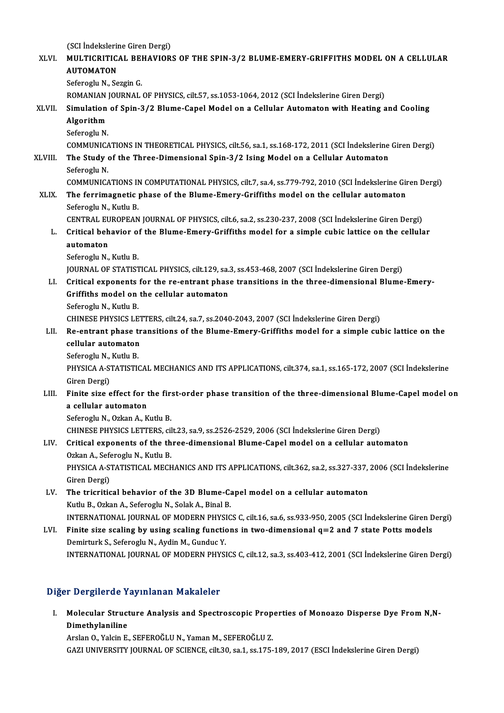(SCI İndekslerine Giren Dergi) (SCI İndekslerine Giren Dergi)<br>XLVI. MULTICRITICAL BEHAVIORS OF THE SPIN-3/2 BLUME-EMERY-GRIFFITHS MODEL ON A CELLULAR (SCI İndekslerin<br>MULTICRITIC<br>AUTOMATON<br>Sefereglu N. Se MULTICRITICAL BE<mark>I</mark><br>AUTOMATON<br>Seferoglu N., Sezgin G.<br>ROMANIAN IOURNAL AUTOMATON<br>Seferoglu N., Sezgin G.<br>ROMANIAN JOURNAL OF PHYSICS, cilt.57, ss.1053-1064, 2012 (SCI İndekslerine Giren Dergi)<br>Simulation of Spin 3/3 Blume Ganel Model on a Gollular Automaton with Heating a Seferoglu N., Sezgin G.<br>ROMANIAN JOURNAL OF PHYSICS, cilt.57, ss.1053-1064, 2012 (SCI İndekslerine Giren Dergi)<br>XLVII. Simulation of Spin-3/2 Blume-Capel Model on a Cellular Automaton with Heating and Cooling<br>Algorithm ROMANIAN<br>Simulation<br>Algorithm<br>Seferesh N Si<mark>mulation</mark><br>Algorithm<br>Seferoglu N.<br>COMMUNICA Algorithm<br>Seferoglu N.<br>COMMUNICATIONS IN THEORETICAL PHYSICS, cilt.56, sa.1, ss.168-172, 2011 (SCI İndekslerine Giren Dergi)<br>The Study of the Three Dimensional Spin 3/3 Jeing Model on a Collular Automator Seferoglu N.<br>COMMUNICATIONS IN THEORETICAL PHYSICS, cilt.56, sa.1, ss.168-172, 2011 (SCI Indekslerine<br>XLVIII. The Study of the Three-Dimensional Spin-3/2 Ising Model on a Cellular Automaton<br>Seferoglu N. COMMUNICA<br>The Study<br>Seferoglu N.<br>COMMUNICA The Study of the Three-Dimensional Spin-3/2 Ising Model on a Cellular Automaton<br>Seferoglu N.<br>COMMUNICATIONS IN COMPUTATIONAL PHYSICS, cilt.7, sa.4, ss.779-792, 2010 (SCI İndekslerine Giren Dergi)<br>The fornimegnatic phase of Seferoglu N.<br>COMMUNICATIONS IN COMPUTATIONAL PHYSICS, cilt.7, sa.4, ss.779-792, 2010 (SCI Indekslerine Gir<br>XLIX. The ferrimagnetic phase of the Blume-Emery-Griffiths model on the cellular automaton<br>Seferechy N. Kuthy B The ferrimagnetic phase of the Blume-Emery-Griffiths model on the cellular automaton<br>Seferoglu N., Kutlu B. The ferrimagnetic phase of the Blume-Emery-Griffiths model on the cellular automaton<br>Seferoglu N., Kutlu B.<br>CENTRAL EUROPEAN JOURNAL OF PHYSICS, cilt.6, sa.2, ss.230-237, 2008 (SCI İndekslerine Giren Dergi)<br>Critical babayi Seferoglu N., Kutlu B.<br>CENTRAL EUROPEAN JOURNAL OF PHYSICS, cilt.6, sa.2, ss.230-237, 2008 (SCI İndekslerine Giren Dergi)<br>L. Critical behavior of the Blume-Emery-Griffiths model for a simple cubic lattice on the cellular<br>a CENTRAL EU<br>Critical beh<br>automaton<br>Seferesh: N L. Critical behavior of the Blume-Emery-Griffiths model for a simple cubic lattice on the cellular automaton<br>automaton<br>Seferoglu N., Kutlu B. JOURNALOF STATISTICAL PHYSICS, cilt.129, sa.3, ss.453-468,2007 (SCI İndekslerineGirenDergi) Seferoglu N., Kutlu B.<br>JOURNAL OF STATISTICAL PHYSICS, cilt.129, sa.3, ss.453-468, 2007 (SCI Indekslerine Giren Dergi)<br>LI. Critical exponents for the re-entrant phase transitions in the three-dimensional Blume-Emery-JOURNAL OF STATISTICAL PHYSICS, cilt.129, sa.<br>Critical exponents for the re-entrant phase<br>Griffiths model on the cellular automaton<br>Seferegly N. Kuthy B Critical exponents<br>Griffiths model on<br>Seferoglu N., Kutlu B.<br>CHINESE PHYSICS LE Griffiths model on the cellular automaton<br>Seferoglu N., Kutlu B.<br>CHINESE PHYSICS LETTERS, cilt.24, sa.7, ss.2040-2043, 2007 (SCI İndekslerine Giren Dergi)<br>Be entrant phase transitions of the Blume Emery Griffiths model for Seferoglu N., Kutlu B.<br>CHINESE PHYSICS LETTERS, cilt.24, sa.7, ss.2040-2043, 2007 (SCI İndekslerine Giren Dergi)<br>LII. Re-entrant phase transitions of the Blume-Emery-Griffiths model for a simple cubic lattice on the<br>ca CHINESE PHYSICS LET<br>Re-entrant phase treellular automaton<br>Seferecul N. Kuth P Re-entrant phase t<br>cellular automaton<br>Seferoglu N., Kutlu B.<br>puysic A.A. STATISTIC cellular automaton<br>Seferoglu N., Kutlu B.<br>PHYSICA A-STATISTICAL MECHANICS AND ITS APPLICATIONS, cilt.374, sa.1, ss.165-172, 2007 (SCI İndekslerine<br>Giren Dergi) Seferoglu N, Kutlu B. PHYSICA A-STATISTICAL MECHANICS AND ITS APPLICATIONS, cilt.374, sa.1, ss.165-172, 2007 (SCI İndekslerine<br>Giren Dergi)<br>LIII. Finite size effect for the first-order phase transition of the three-dimensional Blume-Capel model Giren Dergi)<br>Finite size effect for t<br>a cellular automaton<br>Seferegiu N. Orkan A. K Finite size effect for the fir:<br>a cellular automaton<br>Seferoglu N., Ozkan A., Kutlu B.<br>CHINESE DHYSICS LETTEDS al a cellular automaton<br>Seferoglu N., Ozkan A., Kutlu B.<br>CHINESE PHYSICS LETTERS, cilt.23, sa.9, ss.2526-2529, 2006 (SCI İndekslerine Giren Dergi)<br>Critical aunananta of the three dimensional Blume Canal model en a sellular au Seferoglu N., Ozkan A., Kutlu B.<br>CHINESE PHYSICS LETTERS, cilt.23, sa.9, ss.2526-2529, 2006 (SCI İndekslerine Giren Dergi)<br>LIV. Critical exponents of the three-dimensional Blume-Capel model on a cellular automaton<br>Ozkan A. CHINESE PHYSICS LETTERS, cil<br>Critical exponents of the th<br>Ozkan A., Seferoglu N., Kutlu B.<br>PHYSICA A STATISTICAL MECH Critical exponents of the three-dimensional Blume-Capel model on a cellular automaton<br>Ozkan A., Seferoglu N., Kutlu B.<br>PHYSICA A-STATISTICAL MECHANICS AND ITS APPLICATIONS, cilt.362, sa.2, ss.327-337, 2006 (SCI İndekslerin Ozkan A., Sefe<br>PHYSICA A-S'<br>Giren Dergi)<br>The triaritic PHYSICA A-STATISTICAL MECHANICS AND ITS APPLICATIONS, cilt.362, sa.2, ss.327-337,<br>Giren Dergi)<br>LV. The tricritical behavior of the 3D Blume-Capel model on a cellular automaton<br>Kutly B. Orkan A. Seferegiy N. Solak A. Binal Giren Dergi)<br>LV. The tricritical behavior of the 3D Blume-Capel model on a cellular automaton<br>Kutlu B., Ozkan A., Seferoglu N., Solak A., Binal B. The tricritical behavior of the 3D Blume-Capel model on a cellular automaton<br>Kutlu B., Ozkan A., Seferoglu N., Solak A., Binal B.<br>INTERNATIONAL JOURNAL OF MODERN PHYSICS C, cilt.16, sa.6, ss.933-950, 2005 (SCI İndekslerine LVI. Finite size scaling by using scaling functions in two-dimensional  $q=2$  and 7 state Potts models<br>Demirturk S., Seferoglu N., Aydin M., Gunduc Y. INTERNATIONAL JOURNAL OF MODERN PHYSI<br>Finite size scaling by using scaling function<br>Demirturk S., Seferoglu N., Aydin M., Gunduc Y.<br>INTERNATIONAL JOURNAL OF MODERN BUYSI INTERNATIONAL JOURNAL OF MODERN PHYSICS C, cilt.12, sa.3, ss.403-412, 2001 (SCI İndekslerine Giren Dergi)

# Diğer Dergilerde Yayınlanan Makaleler

Iger Dergilerde Yayınlanan Makaleler<br>I. Molecular Structure Analysis and Spectroscopic Properties of Monoazo Disperse Dye From N,Nn Bergherae I<br>Molecular Struct<br>Dimethylaniline<br>Arelan O. Valein E Dimethylaniline<br>Arslan O., Yalcin E., SEFEROĞLU N., Yaman M., SEFEROĞLU Z.

GAZI UNIVERSITY JOURNAL OF SCIENCE, cilt.30, sa.1, ss.175-189, 2017 (ESCI İndekslerine Giren Dergi)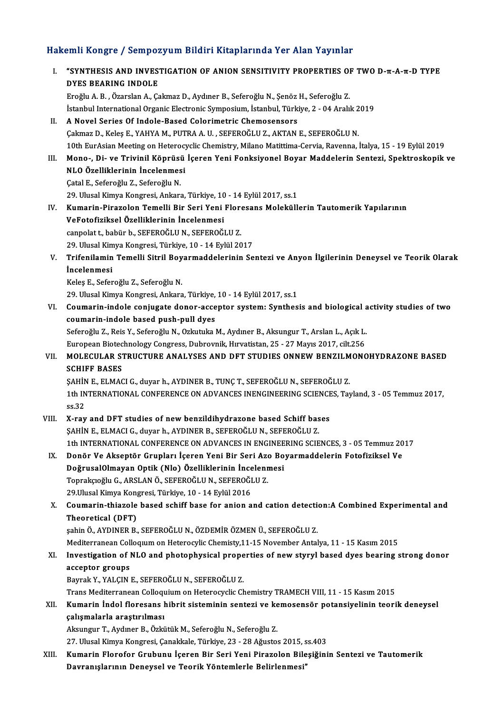# Hakemli Kongre / Sempozyum Bildiri Kitaplarında Yer Alan Yayınlar<br>Hakemli Kongre / Sempozyum Bildiri Kitaplarında Yer Alan Yayınlar

| Hakemli Kongre / Sempozyum Bildiri Kitaplarında Yer Alan Yayınlar |                                                                                                                                                                                                                 |
|-------------------------------------------------------------------|-----------------------------------------------------------------------------------------------------------------------------------------------------------------------------------------------------------------|
| Ι.                                                                | "SYNTHESIS AND INVESTIGATION OF ANION SENSITIVITY PROPERTIES OF TWO D- $\pi$ -A- $\pi$ -D TYPE<br>DYES BEARING INDOLE<br>Eroğlu A. B., Özarslan A., Çakmaz D., Aydıner B., Seferoğlu N., Şenöz H., Seferoğlu Z. |
|                                                                   | İstanbul International Organic Electronic Symposium, İstanbul, Türkiye, 2 - 04 Aralık 2019                                                                                                                      |
| П.                                                                | A Novel Series Of Indole-Based Colorimetric Chemosensors                                                                                                                                                        |
|                                                                   | Çakmaz D., Keleş E., YAHYA M., PUTRA A. U., SEFEROĞLU Z., AKTAN E., SEFEROĞLU N.                                                                                                                                |
|                                                                   | 10th EurAsian Meeting on Heterocyclic Chemistry, Milano Matittima-Cervia, Ravenna, İtalya, 15 - 19 Eylül 2019                                                                                                   |
| III.                                                              | Mono-, Di- ve Trivinil Köprüsü İçeren Yeni Fonksiyonel Boyar Maddelerin Sentezi, Spektroskopik ve                                                                                                               |
|                                                                   | NLO Özelliklerinin İncelenmesi<br>Çatal E., Seferoğlu Z., Seferoğlu N.                                                                                                                                          |
|                                                                   | 29. Ulusal Kimya Kongresi, Ankara, Türkiye, 10 - 14 Eylül 2017, ss.1                                                                                                                                            |
| IV.                                                               | Kumarin-Pirazolon Temelli Bir Seri Yeni Floresans Moleküllerin Tautomerik Yapılarının                                                                                                                           |
|                                                                   | VeFotofiziksel Özelliklerinin İncelenmesi                                                                                                                                                                       |
|                                                                   | canpolat t, babür b., SEFEROĞLU N., SEFEROĞLU Z.                                                                                                                                                                |
|                                                                   | 29. Ulusal Kimya Kongresi, Türkiye, 10 - 14 Eylül 2017                                                                                                                                                          |
| V.                                                                | Trifenilamin Temelli Sitril Boyarmaddelerinin Sentezi ve Anyon İlgilerinin Deneysel ve Teorik Olarak                                                                                                            |
|                                                                   | <i>incelenmesi</i>                                                                                                                                                                                              |
|                                                                   | Keleş E., Seferoğlu Z., Seferoğlu N.                                                                                                                                                                            |
|                                                                   | 29. Ulusal Kimya Kongresi, Ankara, Türkiye, 10 - 14 Eylül 2017, ss.1                                                                                                                                            |
| VI.                                                               | Coumarin-indole conjugate donor-acceptor system: Synthesis and biological activity studies of two                                                                                                               |
|                                                                   | coumarin-indole based push-pull dyes                                                                                                                                                                            |
|                                                                   | Seferoğlu Z., Reis Y., Seferoğlu N., Ozkutuka M., Aydıner B., Aksungur T., Arslan L., Açık L.                                                                                                                   |
|                                                                   | European Biotechnology Congress, Dubrovnik, Hırvatistan, 25 - 27 Mayıs 2017, cilt.256                                                                                                                           |
| VII.                                                              | MOLECULAR STRUCTURE ANALYSES AND DFT STUDIES ONNEW BENZILMONOHYDRAZONE BASED                                                                                                                                    |
|                                                                   | <b>SCHIFF BASES</b>                                                                                                                                                                                             |
|                                                                   | ŞAHİN E., ELMACI G., duyar h., AYDINER B., TUNÇ T., SEFEROĞLU N., SEFEROĞLU Z.                                                                                                                                  |
|                                                                   | 1th INTERNATIONAL CONFERENCE ON ADVANCES INENGINEERING SCIENCES, Tayland, 3 - 05 Temmuz 2017,<br>ss 32                                                                                                          |
|                                                                   | VIII. X-ray and DFT studies of new benzildihydrazone based Schiff bases                                                                                                                                         |
|                                                                   | SAHİN E., ELMACI G., duyar h., AYDINER B., SEFEROĞLU N., SEFEROĞLU Z.                                                                                                                                           |
|                                                                   | 1th INTERNATIONAL CONFERENCE ON ADVANCES IN ENGINEERING SCIENCES, 3 - 05 Temmuz 2017                                                                                                                            |
| IX.                                                               | Donör Ve Akseptör Grupları İçeren Yeni Bir Seri Azo Boyarmaddelerin Fotofiziksel Ve                                                                                                                             |
|                                                                   | DoğrusalOlmayan Optik (Nlo) Özelliklerinin İncelenmesi                                                                                                                                                          |
|                                                                   | Toprakçıoğlu G., ARSLAN Ö., SEFEROĞLU N., SEFEROĞLU Z.                                                                                                                                                          |
|                                                                   | 29 Ulusal Kimya Kongresi, Türkiye, 10 - 14 Eylül 2016                                                                                                                                                           |
| Χ.                                                                | Coumarin-thiazole based schiff base for anion and cation detection: A Combined Experimental and                                                                                                                 |
|                                                                   | Theoretical (DFT)                                                                                                                                                                                               |
|                                                                   | şahin Ö., AYDINER B., SEFEROĞLU N., ÖZDEMİR ÖZMEN Ü., SEFEROĞLU Z.<br>Mediterranean Colloquum on Heterocylic Chemisty, 11-15 November Antalya, 11 - 15 Kasım 2015                                               |
| XI.                                                               | Investigation of NLO and photophysical properties of new styryl based dyes bearing strong donor                                                                                                                 |
|                                                                   | acceptor groups                                                                                                                                                                                                 |
|                                                                   | Bayrak Y., YALÇIN E., SEFEROĞLU N., SEFEROĞLU Z.                                                                                                                                                                |
|                                                                   | Trans Mediterranean Colloquium on Heterocyclic Chemistry TRAMECH VIII, 11 - 15 Kasım 2015                                                                                                                       |
| XII.                                                              | Kumarin İndol floresans hibrit sisteminin sentezi ve kemosensör potansiyelinin teorik deneysel                                                                                                                  |
|                                                                   | çalışmalarla araştırılması                                                                                                                                                                                      |
|                                                                   | Aksungur T., Aydıner B., Özkütük M., Seferoğlu N., Seferoğlu Z.                                                                                                                                                 |
|                                                                   | 27. Ulusal Kimya Kongresi, Çanakkale, Türkiye, 23 - 28 Ağustos 2015, ss 403                                                                                                                                     |
| XIII.                                                             | Kumarin Florofor Grubunu İçeren Bir Seri Yeni Pirazolon Bileşiğinin Sentezi ve Tautomerik                                                                                                                       |
|                                                                   | Davranışlarının Deneysel ve Teorik Yöntemlerle Belirlenmesi"                                                                                                                                                    |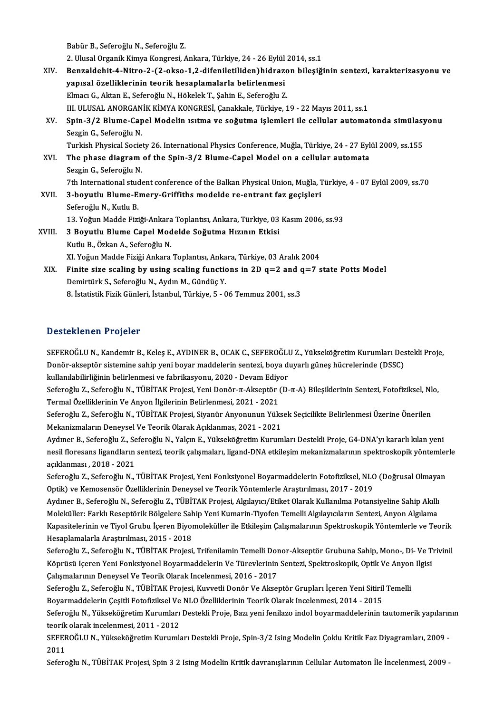|        | Babür B., Seferoğlu N., Seferoğlu Z.                                                                        |
|--------|-------------------------------------------------------------------------------------------------------------|
|        | 2. Ulusal Organik Kimya Kongresi, Ankara, Türkiye, 24 - 26 Eylül 2014, ss.1                                 |
| XIV.   | Benzaldehit-4-Nitro-2-(2-okso-1,2-difeniletiliden) hidrazon bileşiğinin sentezi, karakterizasyonu ve        |
|        | yapısal özelliklerinin teorik hesaplamalarla belirlenmesi                                                   |
|        | Elmacı G., Aktan E., Seferoğlu N., Hökelek T., Şahin E., Seferoğlu Z.                                       |
|        | III. ULUSAL ANORGANİK KİMYA KONGRESİ, Çanakkale, Türkiye, 19 - 22 Mayıs 2011, ss.1                          |
| XV.    | Spin-3/2 Blume-Capel Modelin ısıtma ve soğutma işlemleri ile cellular automatonda simülasyonu               |
|        | Sezgin G., Seferoğlu N.                                                                                     |
|        | Turkish Physical Society 26. International Physics Conference, Muğla, Türkiye, 24 - 27 Eylül 2009, ss.155   |
| XVI.   | The phase diagram of the Spin-3/2 Blume-Capel Model on a cellular automata                                  |
|        | Sezgin G., Seferoğlu N.                                                                                     |
|        | 7th International student conference of the Balkan Physical Union, Muğla, Türkiye, 4 - 07 Eylül 2009, ss.70 |
| XVII.  | 3-boyutlu Blume-Emery-Griffiths modelde re-entrant faz geçişleri                                            |
|        | Seferoğlu N., Kutlu B.                                                                                      |
|        | 13. Yoğun Madde Fiziği-Ankara Toplantısı, Ankara, Türkiye, 03 Kasım 2006, ss.93                             |
| XVIII. | 3 Boyutlu Blume Capel Modelde Soğutma Hızının Etkisi                                                        |
|        | Kutlu B., Özkan A., Seferoğlu N.                                                                            |
|        | XI. Yoğun Madde Fiziği Ankara Toplantısı, Ankara, Türkiye, 03 Aralık 2004                                   |
| XIX.   | Finite size scaling by using scaling functions in 2D $q=2$ and $q=7$ state Potts Model                      |
|        | Demirtürk S., Seferoğlu N., Aydın M., Gündüç Y.                                                             |
|        | 8. İstatistik Fizik Günleri, İstanbul, Türkiye, 5 - 06 Temmuz 2001, ss.3                                    |
|        |                                                                                                             |

# Desteklenen Projeler

Desteklenen Projeler<br>SEFEROĞLU N., Kandemir B., Keleş E., AYDINER B., OCAK C., SEFEROĞLU Z., Yükseköğretim Kurumları Destekli Proje,<br>Denör eksentör sistemine sehin yeni beyar maddelerin senteri, beya duyarlı güneş büsreler D ODCENTON IT ITOJOISI<br>SEFEROĞLU N., Kandemir B., Keleş E., AYDINER B., OCAK C., SEFEROĞLU Z., Yükseköğretim Kurumları Des<br>Donör-akseptör sistemine sahip yeni boyar maddelerin sentezi, boya duyarlı güneş hücrelerinde (DSSC SEFEROĞLU N., Kandemir B., Keleş E., AYDINER B., OCAK C., SEFEROĞLU<br>Donör-akseptör sistemine sahip yeni boyar maddelerin sentezi, boya dı<br>kullanılabilirliğinin belirlenmesi ve fabrikasyonu, 2020 - Devam Ediyor<br>Sefereğlu Z. Donör-akseptör sistemine sahip yeni boyar maddelerin sentezi, boya duyarlı güneş hücrelerinde (DSSC)<br>kullanılabilirliğinin belirlenmesi ve fabrikasyonu, 2020 - Devam Ediyor<br>Seferoğlu Z., Seferoğlu N., TÜBİTAK Projesi, Yen

kullanılabilirliğinin belirlenmesi ve fabrikasyonu, 2020 - Devam Ediy<br>Seferoğlu Z., Seferoğlu N., TÜBİTAK Projesi, Yeni Donör-π-Akseptör (<br>Termal Özelliklerinin Ve Anyon İlgilerinin Belirlenmesi, 2021 - 2021<br>Seferoğlu Z. Seferoğlu Z., Seferoğlu N., TÜBİTAK Projesi, Yeni Donör-π-Akseptör (D-π-A) Bileşiklerinin Sentezi, Fotofiziksel, Nl<br>Termal Özelliklerinin Ve Anyon İlgilerinin Belirlenmesi, 2021 - 2021<br>Seferoğlu Z., Seferoğlu N., TÜBİTAK P

Termal Özelliklerinin Ve Anyon İlgilerinin Belirlenmesi, 2021 - 2021<br>Seferoğlu Z., Seferoğlu N., TÜBİTAK Projesi, Siyanür Anyonunun Yüks<br>Mekanizmaların Deneysel Ve Teorik Olarak Açıklanmas, 2021 - 2021<br>Avdunar B. Seferoğlu Seferoğlu Z., Seferoğlu N., TÜBİTAK Projesi, Siyanür Anyonunun Yüksek Seçicilikte Belirlenmesi Üzerine Önerilen<br>Mekanizmaların Deneysel Ve Teorik Olarak Açıklanmas, 2021 - 2021<br>Aydıner B., Seferoğlu Z., Seferoğlu N., Yalçı

Mekanizmaların Deneysel Ve Teorik Olarak Açıklanmas, 2021 - 2021<br>Aydıner B., Seferoğlu Z., Seferoğlu N., Yalçın E., Yükseköğretim Kurumları Destekli Proje, G4-DNA'yı kararlı kılan yeni<br>nesil floresans ligandların sentezi, Aydıner B., Seferoğlu Z., Se<br>nesil floresans ligandların<br>açıklanması , 2018 - 2021<br>Sefereğlu Z., Sefereğlu N. nesil floresans ligandların sentezi, teorik çalışmaları, ligand-DNA etkileşim mekanizmalarının spektroskopik yöntemler<br>açıklanması , 2018 - 2021<br>Seferoğlu Z., Seferoğlu N., TÜBİTAK Projesi, Yeni Fonksiyonel Boyarmaddelerin

açıklanması , 2018 - 2021<br>Seferoğlu Z., Seferoğlu N., TÜBİTAK Projesi, Yeni Fonksiyonel Boyarmaddelerin Fotofiziksel, NLC<br>Optik) ve Kemosensör Özelliklerinin Deneysel ve Teorik Yöntemlerle Araştırılması, 2017 - 2019<br>Avduna Seferoğlu Z., Seferoğlu N., TÜBİTAK Projesi, Yeni Fonksiyonel Boyarmaddelerin Fotofiziksel, NLO (Doğrusal Olmaya<br>Optik) ve Kemosensör Özelliklerinin Deneysel ve Teorik Yöntemlerle Araştırılması, 2017 - 2019<br>Aydıner B., Sef

Optik) ve Kemosensör Özelliklerinin Deneysel ve Teorik Yöntemlerle Araştırılması, 2017 - 2019<br>Aydıner B., Seferoğlu N., Seferoğlu Z., TÜBİTAK Projesi, Algılayıcı/Etiket Olarak Kullanılma Potansiyeline Sahip Akıllı<br>Moleküll Aydıner B., Seferoğlu N., Seferoğlu Z., TÜBİTAK Projesi, Algılayıcı/Etiket Olarak Kullanılma Potansiyeline Sahip Akıllı<br>Moleküller: Farklı Reseptörik Bölgelere Sahip Yeni Kumarin-Tiyofen Temelli Algılayıcıların Sentezi, An Moleküller: Farklı Reseptörik Bölgelere Sah<br>Kapasitelerinin ve Tiyol Grubu İçeren Biyor<br>Hesaplamalarla Araştırılması, 2015 - 2018<br>Sefereğlu Z. Sefereğlu N. TüpiTAK Prejesi Kapasitelerinin ve Tiyol Grubu İçeren Biyomoleküller ile Etkileşim Çalışmalarının Spektroskopik Yöntemlerle ve Teorik<br>Hesaplamalarla Araştırılması, 2015 - 2018<br>Seferoğlu Z., Seferoğlu N., TÜBİTAK Projesi, Trifenilamin Teme

Hesaplamalarla Araştırılması, 2015 - 2018<br>Seferoğlu Z., Seferoğlu N., TÜBİTAK Projesi, Trifenilamin Temelli Donor-Akseptör Grubuna Sahip, Mono-, Di- Ve T<br>Köprüsü Içeren Yeni Fonksiyonel Boyarmaddelerin Ve Türevlerinin Sent Seferoğlu Z., Seferoğlu N., TÜBİTAK Projesi, Trifenilamin Temelli Dor<br>Köprüsü Içeren Yeni Fonksiyonel Boyarmaddelerin Ve Türevlerinin<br>Çalışmalarının Deneysel Ve Teorik Olarak Incelenmesi, 2016 - 2017<br>Seferoğlu Z. Seferoğlu Köprüsü Içeren Yeni Fonksiyonel Boyarmaddelerin Ve Türevlerinin Sentezi, Spektroskopik, Optik Ve Anyor<br>Çalışmalarının Deneysel Ve Teorik Olarak Incelenmesi, 2016 - 2017<br>Seferoğlu Z., Seferoğlu N., TÜBİTAK Projesi, Kuvvetli

Çalışmalarının Deneysel Ve Teorik Olarak Incelenmesi, 2016 - 2017<br>Seferoğlu Z., Seferoğlu N., TÜBİTAK Projesi, Kuvvetli Donör Ve Akseptör Grupları İçeren Yeni Sitiril<br>Boyarmaddelerin Çeşitli Fotofiziksel Ve NLO Özellikleri Seferoğlu Z., Seferoğlu N., TÜBİTAK Projesi, Kuvvetli Donör Ve Akseptör Grupları İçeren Yeni Sitiril Temelli<br>Boyarmaddelerin Çeşitli Fotofiziksel Ve NLO Özelliklerinin Teorik Olarak Incelenmesi, 2014 - 2015<br>Seferoğlu N., Y

Boyarmaddelerin Çeşitli Fotofiziksel Ve<br>Seferoğlu N., Yükseköğretim Kurumları<br>teorik olarak incelenmesi, 2011 - 2012<br>SEEEDOĞLU N. Yükseköğretim Kurumlı Seferoğlu N., Yükseköğretim Kurumları Destekli Proje, Bazı yeni fenilazo indol boyarmaddelerinin tautomerik yapıların<br>teorik olarak incelenmesi, 2011 - 2012<br>SEFEROĞLU N., Yükseköğretim Kurumları Destekli Proje, Spin-3/2 Is

teorik<br>SEFEF<br>2011<br>Sefere SEFEROĞLU N., Yükseköğretim Kurumları Destekli Proje, Spin-3/2 Ising Modelin Çoklu Kritik Faz Diyagramları, 2009 -<br>2011<br>Seferoğlu N., TÜBİTAK Projesi, Spin 3 2 Ising Modelin Kritik davranışlarının Cellular Automaton İle İn